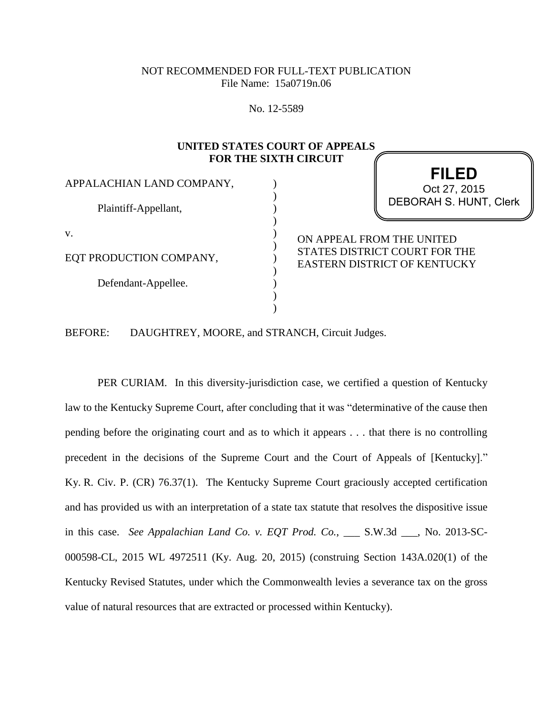## NOT RECOMMENDED FOR FULL-TEXT PUBLICATION File Name: 15a0719n.06

No. 12-5589

#### **UNITED STATES COURT OF APPEALS FOR THE SIXTH CIRCUIT**

) ) ) ) ) ) ) ) ) )  $\lambda$ 

APPALACHIAN LAND COMPANY,

Plaintiff-Appellant,

v.

EQT PRODUCTION COMPANY,

Defendant-Appellee.

# **FILED** DEBORAH S. HUNT, Clerk Oct 27, 2015

ON APPEAL FROM THE UNITED STATES DISTRICT COURT FOR THE EASTERN DISTRICT OF KENTUCKY

BEFORE: DAUGHTREY, MOORE, and STRANCH, Circuit Judges.

PER CURIAM. In this diversity-jurisdiction case, we certified a question of Kentucky law to the Kentucky Supreme Court, after concluding that it was "determinative of the cause then pending before the originating court and as to which it appears . . . that there is no controlling precedent in the decisions of the Supreme Court and the Court of Appeals of [Kentucky]." Ky. R. Civ. P. (CR) 76.37(1). The Kentucky Supreme Court graciously accepted certification and has provided us with an interpretation of a state tax statute that resolves the dispositive issue in this case. *See Appalachian Land Co. v. EQT Prod. Co.*, \_\_\_ S.W.3d \_\_\_, No. 2013-SC-000598-CL, 2015 WL 4972511 (Ky. Aug. 20, 2015) (construing Section 143A.020(1) of the Kentucky Revised Statutes, under which the Commonwealth levies a severance tax on the gross value of natural resources that are extracted or processed within Kentucky).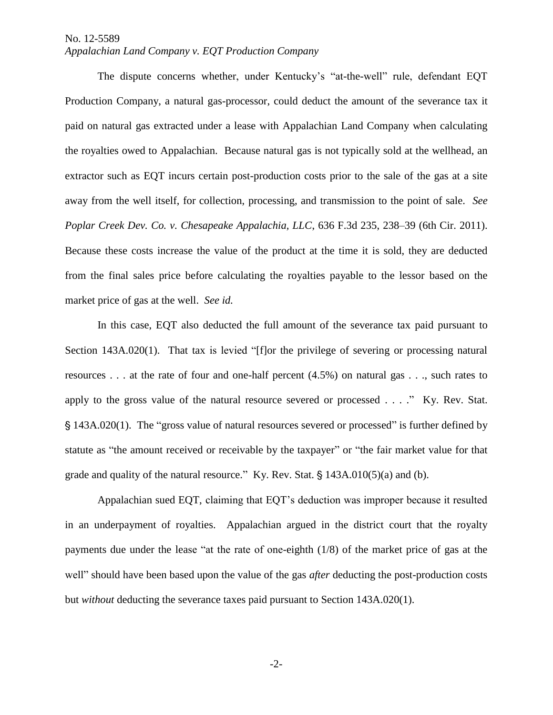#### No. 12-5589 *Appalachian Land Company v. EQT Production Company*

The dispute concerns whether, under Kentucky's "at-the-well" rule, defendant EQT Production Company, a natural gas-processor, could deduct the amount of the severance tax it paid on natural gas extracted under a lease with Appalachian Land Company when calculating the royalties owed to Appalachian. Because natural gas is not typically sold at the wellhead, an extractor such as EQT incurs certain post-production costs prior to the sale of the gas at a site away from the well itself, for collection, processing, and transmission to the point of sale. *See Poplar Creek Dev. Co. v. Chesapeake Appalachia, LLC*, 636 F.3d 235, 238–39 (6th Cir. 2011). Because these costs increase the value of the product at the time it is sold, they are deducted from the final sales price before calculating the royalties payable to the lessor based on the market price of gas at the well. *See id.*

In this case, EQT also deducted the full amount of the severance tax paid pursuant to Section 143A.020(1). That tax is levied "[f]or the privilege of severing or processing natural resources . . . at the rate of four and one-half percent (4.5%) on natural gas . . ., such rates to apply to the gross value of the natural resource severed or processed . . . ." Ky. Rev. Stat. ' 143A.020(1). The "gross value of natural resources severed or processed" is further defined by statute as "the amount received or receivable by the taxpayer" or "the fair market value for that grade and quality of the natural resource." Ky. Rev. Stat.  $\S$  143A.010(5)(a) and (b).

Appalachian sued EQT, claiming that EQT's deduction was improper because it resulted in an underpayment of royalties. Appalachian argued in the district court that the royalty payments due under the lease "at the rate of one-eighth (1/8) of the market price of gas at the well" should have been based upon the value of the gas *after* deducting the post-production costs but *without* deducting the severance taxes paid pursuant to Section 143A.020(1).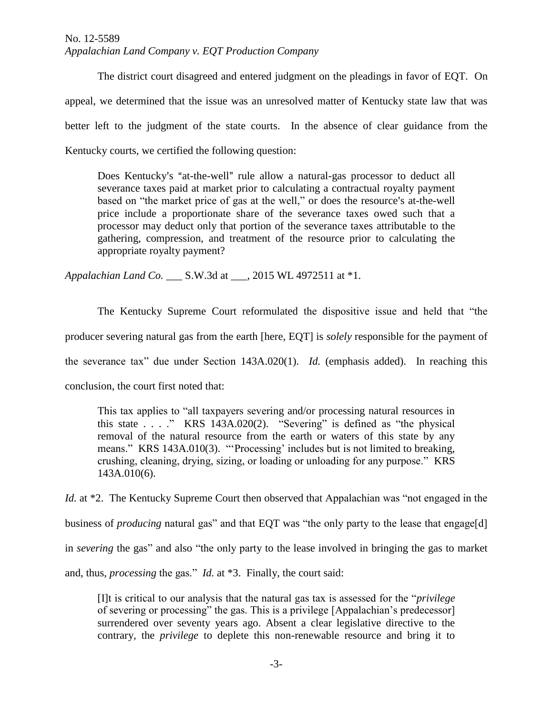### No. 12-5589 *Appalachian Land Company v. EQT Production Company*

The district court disagreed and entered judgment on the pleadings in favor of EQT. On appeal, we determined that the issue was an unresolved matter of Kentucky state law that was better left to the judgment of the state courts. In the absence of clear guidance from the Kentucky courts, we certified the following question:

Does Kentucky's "at-the-well" rule allow a natural-gas processor to deduct all severance taxes paid at market prior to calculating a contractual royalty payment based on "the market price of gas at the well," or does the resource's at-the-well price include a proportionate share of the severance taxes owed such that a processor may deduct only that portion of the severance taxes attributable to the gathering, compression, and treatment of the resource prior to calculating the appropriate royalty payment?

*Appalachian Land Co.* S.W.3d at . 2015 WL 4972511 at \*1.

The Kentucky Supreme Court reformulated the dispositive issue and held that "the producer severing natural gas from the earth [here, EQT] is *solely* responsible for the payment of the severance tax" due under Section 143A.020(1). *Id.* (emphasis added). In reaching this conclusion, the court first noted that:

This tax applies to "all taxpayers severing and/or processing natural resources in this state . . . ." KRS 143A.020(2). "Severing" is defined as "the physical removal of the natural resource from the earth or waters of this state by any means." KRS 143A.010(3). "'Processing' includes but is not limited to breaking, crushing, cleaning, drying, sizing, or loading or unloading for any purpose." KRS 143A.010(6).

*Id.* at \*2. The Kentucky Supreme Court then observed that Appalachian was "not engaged in the business of *producing* natural gas" and that EQT was "the only party to the lease that engage[d] in *severing* the gas" and also "the only party to the lease involved in bringing the gas to market and, thus, *processing* the gas." *Id.* at \*3. Finally, the court said:

[I]t is critical to our analysis that the natural gas tax is assessed for the "*privilege* of severing or processing" the gas. This is a privilege [Appalachian's predecessor] surrendered over seventy years ago. Absent a clear legislative directive to the contrary, the *privilege* to deplete this non-renewable resource and bring it to